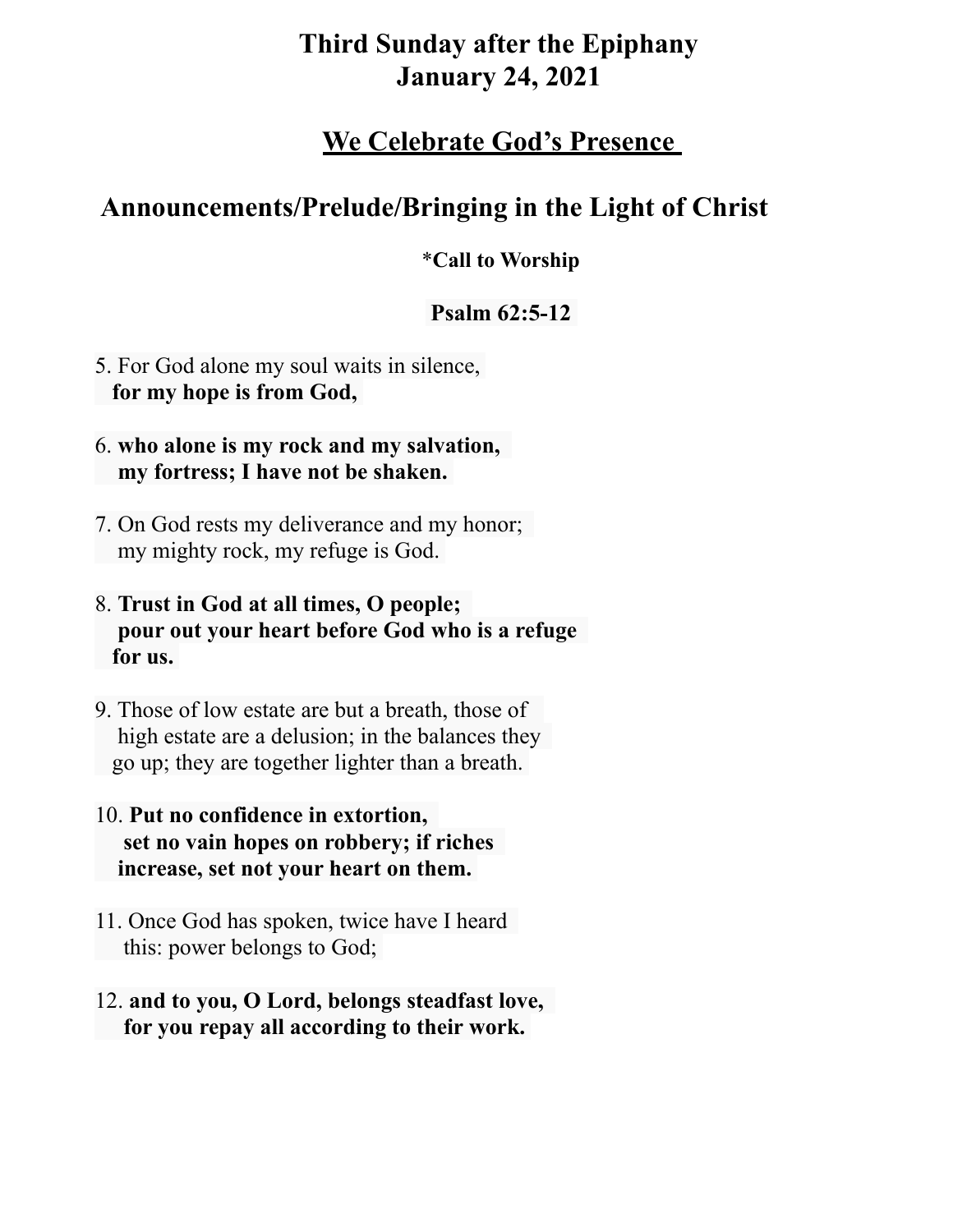# **Third Sunday after the Epiphany January 24, 2021**

## **We Celebrate God's Presence**

# **Announcements/Prelude/Bringing in the Light of Christ**

### \***Call to Worship**

## **Psalm 62:5-12**

- 5. For God alone my soul waits in silence,  **for my hope is from God,**
- 6. **who alone is my rock and my salvation, my fortress; I have not be shaken.**
- 7. On God rests my deliverance and my honor; my mighty rock, my refuge is God.
- 8. **Trust in God at all times, O people; pour out your heart before God who is a refuge for us.**
- 9. Those of low estate are but a breath, those of high estate are a delusion; in the balances they go up; they are together lighter than a breath.
- 10. **Put no confidence in extortion, set no vain hopes on robbery; if riches increase, set not your heart on them.**
- 11. Once God has spoken, twice have I heard this: power belongs to God;
- 12. **and to you, O Lord, belongs steadfast love, for you repay all according to their work.**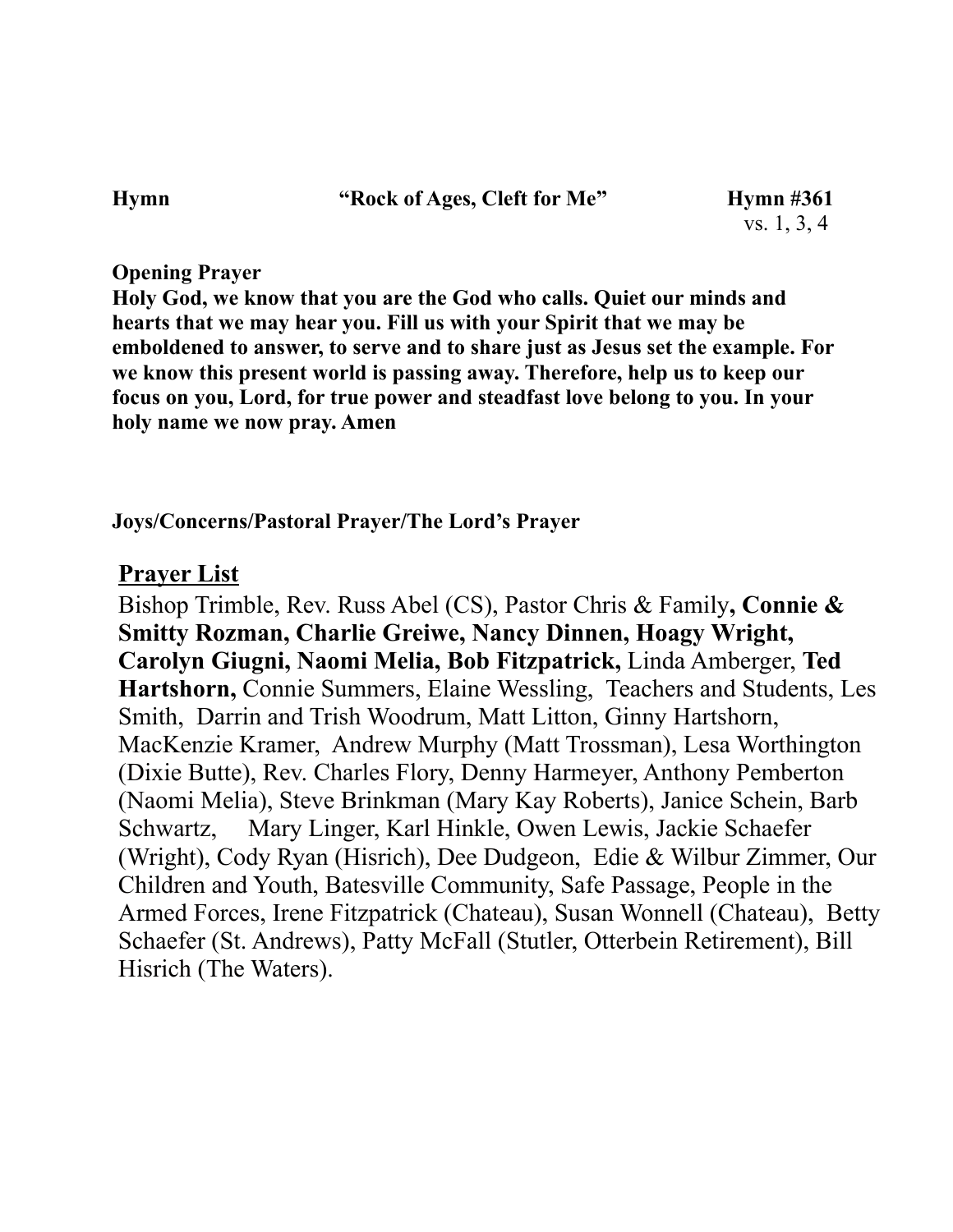Hymn "Rock of Ages, Cleft for Me" Hymn #361

### **Opening Prayer**

**Holy God, we know that you are the God who calls. Quiet our minds and hearts that we may hear you. Fill us with your Spirit that we may be emboldened to answer, to serve and to share just as Jesus set the example. For we know this present world is passing away. Therefore, help us to keep our focus on you, Lord, for true power and steadfast love belong to you. In your holy name we now pray. Amen**

### **Joys/Concerns/Pastoral Prayer/The Lord's Prayer**

## **Prayer List**

Bishop Trimble, Rev. Russ Abel (CS), Pastor Chris & Family**, Connie & Smitty Rozman, Charlie Greiwe, Nancy Dinnen, Hoagy Wright, Carolyn Giugni, Naomi Melia, Bob Fitzpatrick,** Linda Amberger, **Ted Hartshorn,** Connie Summers, Elaine Wessling, Teachers and Students, Les Smith, Darrin and Trish Woodrum, Matt Litton, Ginny Hartshorn, MacKenzie Kramer, Andrew Murphy (Matt Trossman), Lesa Worthington (Dixie Butte), Rev. Charles Flory, Denny Harmeyer, Anthony Pemberton (Naomi Melia), Steve Brinkman (Mary Kay Roberts), Janice Schein, Barb Schwartz, Mary Linger, Karl Hinkle, Owen Lewis, Jackie Schaefer (Wright), Cody Ryan (Hisrich), Dee Dudgeon, Edie & Wilbur Zimmer, Our Children and Youth, Batesville Community, Safe Passage, People in the Armed Forces, Irene Fitzpatrick (Chateau), Susan Wonnell (Chateau), Betty Schaefer (St. Andrews), Patty McFall (Stutler, Otterbein Retirement), Bill Hisrich (The Waters).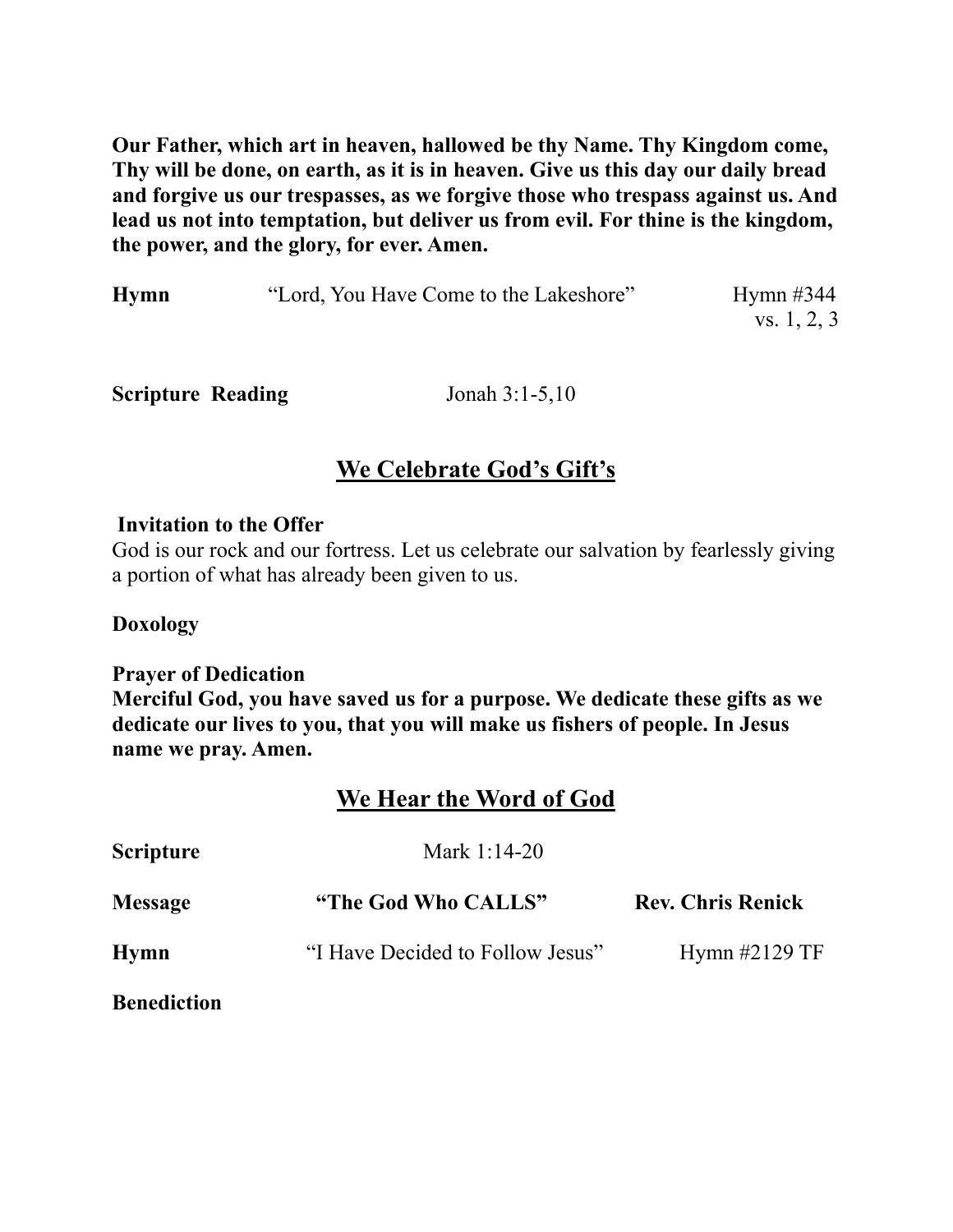**Our Father, which art in heaven, hallowed be thy Name. Thy Kingdom come, Thy will be done, on earth, as it is in heaven. Give us this day our daily bread and forgive us our trespasses, as we forgive those who trespass against us. And lead us not into temptation, but deliver us from evil. For thine is the kingdom, the power, and the glory, for ever. Amen.**

| <b>Hymn</b> | "Lord, You Have Come to the Lakeshore" | Hymn $\#344$ |
|-------------|----------------------------------------|--------------|
|             |                                        | vs. 1, 2, 3  |

**Scripture Reading** Jonah 3:1-5,10

## **We Celebrate God's Gift's**

#### **Invitation to the Offer**

God is our rock and our fortress. Let us celebrate our salvation by fearlessly giving a portion of what has already been given to us.

### **Doxology**

**Prayer of Dedication** 

**Merciful God, you have saved us for a purpose. We dedicate these gifts as we dedicate our lives to you, that you will make us fishers of people. In Jesus name we pray. Amen.** 

## **We Hear the Word of God**

| <b>Scripture</b>   | Mark $1:14-20$                   |                          |  |
|--------------------|----------------------------------|--------------------------|--|
| <b>Message</b>     | "The God Who CALLS"              | <b>Rev. Chris Renick</b> |  |
| <b>Hymn</b>        | "I Have Decided to Follow Jesus" | Hymn $\#2129$ TF         |  |
| <b>Benediction</b> |                                  |                          |  |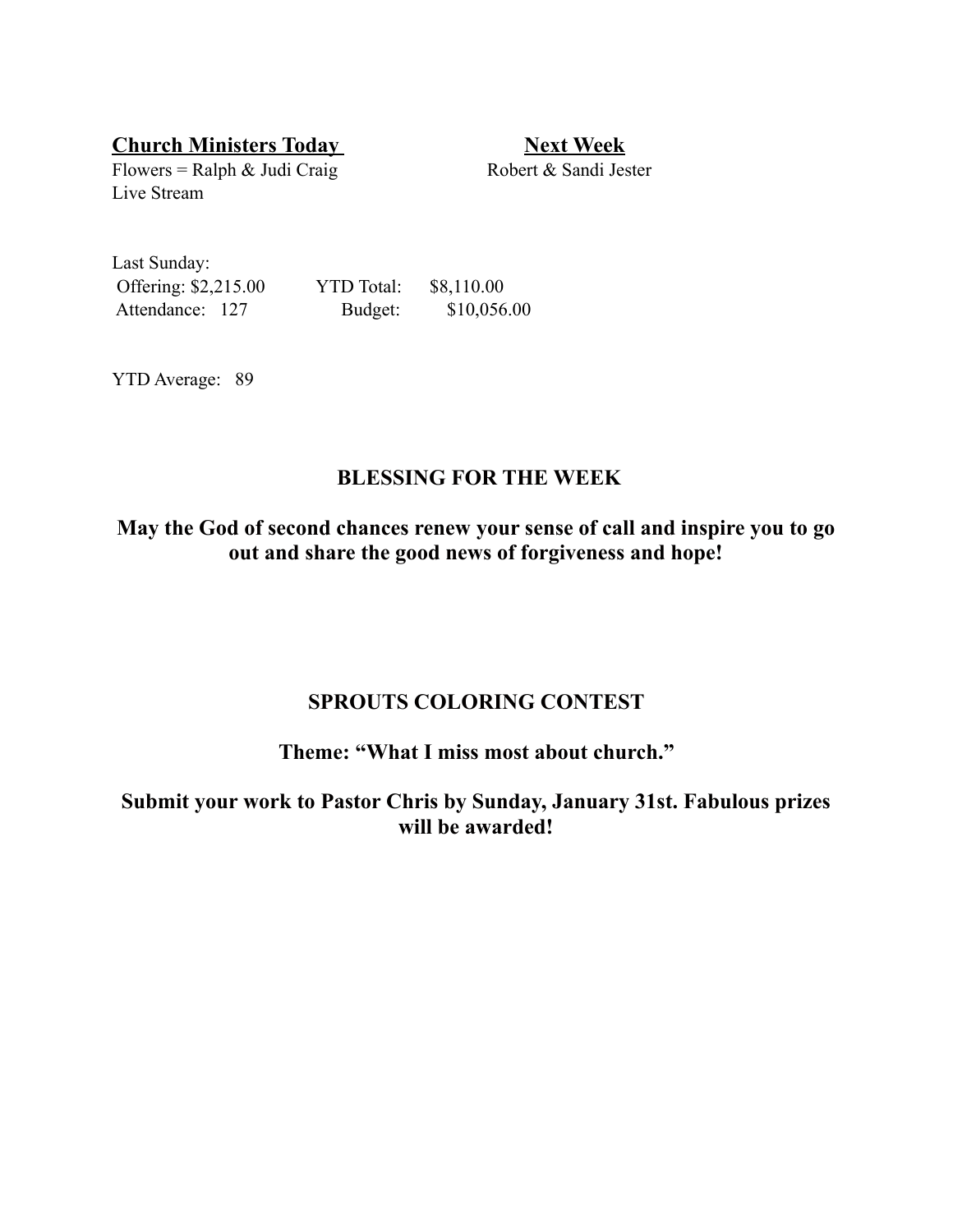**Church Ministers Today 19. 19. Next Week** 

Flowers = Ralph & Judi Craig Robert & Sandi Jester Live Stream

Last Sunday: Offering: \$2,215.00 YTD Total: \$8,110.00 Attendance: 127 Budget: \$10,056.00

YTD Average: 89

### **BLESSING FOR THE WEEK**

**May the God of second chances renew your sense of call and inspire you to go out and share the good news of forgiveness and hope!** 

### **SPROUTS COLORING CONTEST**

#### **Theme: "What I miss most about church."**

**Submit your work to Pastor Chris by Sunday, January 31st. Fabulous prizes will be awarded!**